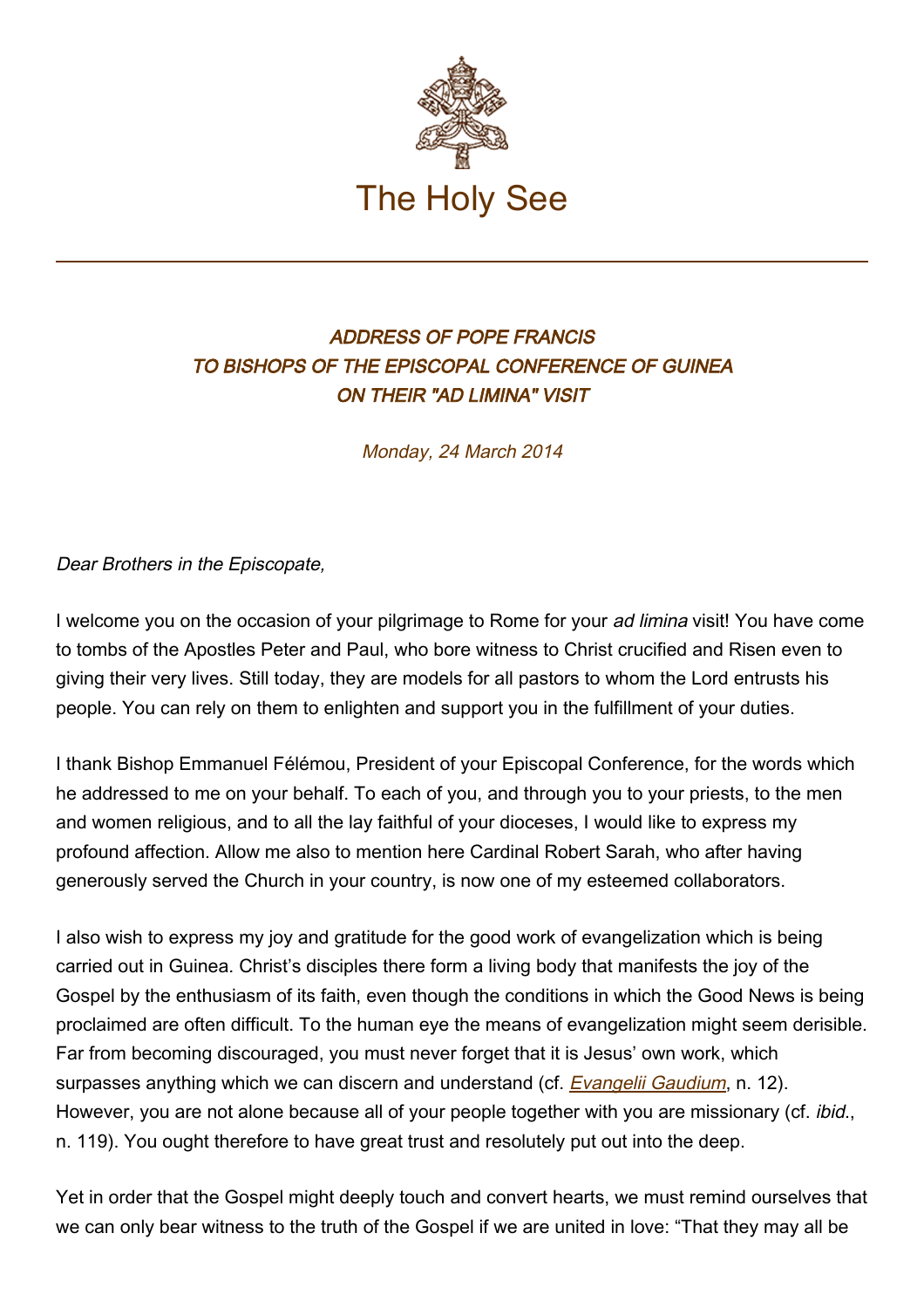

## ADDRESS OF POPE FRANCIS TO BISHOPS OF THE EPISCOPAL CONFERENCE OF GUINEA ON THEIR "AD LIMINA" VISIT

Monday, 24 March 2014

## Dear Brothers in the Episcopate,

I welcome you on the occasion of your pilgrimage to Rome for your ad limina visit! You have come to tombs of the Apostles Peter and Paul, who bore witness to Christ crucified and Risen even to giving their very lives. Still today, they are models for all pastors to whom the Lord entrusts his people. You can rely on them to enlighten and support you in the fulfillment of your duties.

I thank Bishop Emmanuel Félémou, President of your Episcopal Conference, for the words which he addressed to me on your behalf. To each of you, and through you to your priests, to the men and women religious, and to all the lay faithful of your dioceses, I would like to express my profound affection. Allow me also to mention here Cardinal Robert Sarah, who after having generously served the Church in your country, is now one of my esteemed collaborators.

I also wish to express my joy and gratitude for the good work of evangelization which is being carried out in Guinea. Christ's disciples there form a living body that manifests the joy of the Gospel by the enthusiasm of its faith, even though the conditions in which the Good News is being proclaimed are often difficult. To the human eye the means of evangelization might seem derisible. Far from becoming discouraged, you must never forget that it is Jesus' own work, which surpasses anything which we can discern and understand (cf. [Evangelii Gaudium](http://www.vatican.va/holy_father/francesco/apost_exhortations/documents/papa-francesco_esortazione-ap_20131124_evangelii-gaudium_en.html), n. 12). However, you are not alone because all of your people together with you are missionary (cf. *ibid.*, n. 119). You ought therefore to have great trust and resolutely put out into the deep.

Yet in order that the Gospel might deeply touch and convert hearts, we must remind ourselves that we can only bear witness to the truth of the Gospel if we are united in love: "That they may all be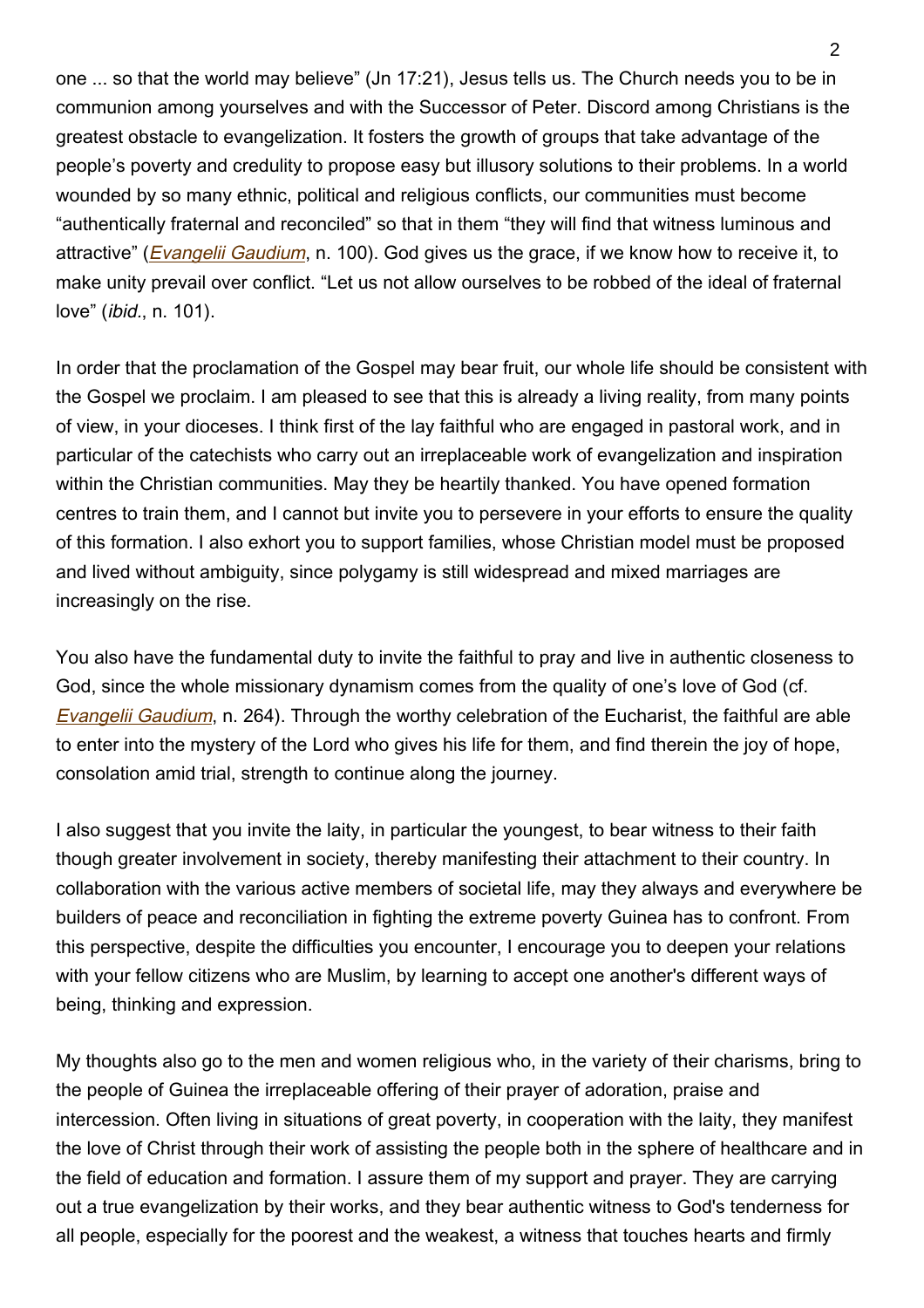one ... so that the world may believe" (Jn 17:21), Jesus tells us. The Church needs you to be in communion among yourselves and with the Successor of Peter. Discord among Christians is the greatest obstacle to evangelization. It fosters the growth of groups that take advantage of the people's poverty and credulity to propose easy but illusory solutions to their problems. In a world wounded by so many ethnic, political and religious conflicts, our communities must become "authentically fraternal and reconciled" so that in them "they will find that witness luminous and attractive" (*[Evangelii Gaudium](http://www.vatican.va/holy_father/francesco/apost_exhortations/documents/papa-francesco_esortazione-ap_20131124_evangelii-gaudium_en.html)*, n. 100). God gives us the grace, if we know how to receive it, to make unity prevail over conflict. "Let us not allow ourselves to be robbed of the ideal of fraternal love" (ibid., n. 101).

In order that the proclamation of the Gospel may bear fruit, our whole life should be consistent with the Gospel we proclaim. I am pleased to see that this is already a living reality, from many points of view, in your dioceses. I think first of the lay faithful who are engaged in pastoral work, and in particular of the catechists who carry out an irreplaceable work of evangelization and inspiration within the Christian communities. May they be heartily thanked. You have opened formation centres to train them, and I cannot but invite you to persevere in your efforts to ensure the quality of this formation. I also exhort you to support families, whose Christian model must be proposed and lived without ambiguity, since polygamy is still widespread and mixed marriages are increasingly on the rise.

You also have the fundamental duty to invite the faithful to pray and live in authentic closeness to God, since the whole missionary dynamism comes from the quality of one's love of God (cf. **[Evangelii Gaudium](http://www.vatican.va/holy_father/francesco/apost_exhortations/documents/papa-francesco_esortazione-ap_20131124_evangelii-gaudium_en.html)**, n. 264). Through the worthy celebration of the Eucharist, the faithful are able to enter into the mystery of the Lord who gives his life for them, and find therein the joy of hope, consolation amid trial, strength to continue along the journey.

I also suggest that you invite the laity, in particular the youngest, to bear witness to their faith though greater involvement in society, thereby manifesting their attachment to their country. In collaboration with the various active members of societal life, may they always and everywhere be builders of peace and reconciliation in fighting the extreme poverty Guinea has to confront. From this perspective, despite the difficulties you encounter, I encourage you to deepen your relations with your fellow citizens who are Muslim, by learning to accept one another's different ways of being, thinking and expression.

My thoughts also go to the men and women religious who, in the variety of their charisms, bring to the people of Guinea the irreplaceable offering of their prayer of adoration, praise and intercession. Often living in situations of great poverty, in cooperation with the laity, they manifest the love of Christ through their work of assisting the people both in the sphere of healthcare and in the field of education and formation. I assure them of my support and prayer. They are carrying out a true evangelization by their works, and they bear authentic witness to God's tenderness for all people, especially for the poorest and the weakest, a witness that touches hearts and firmly